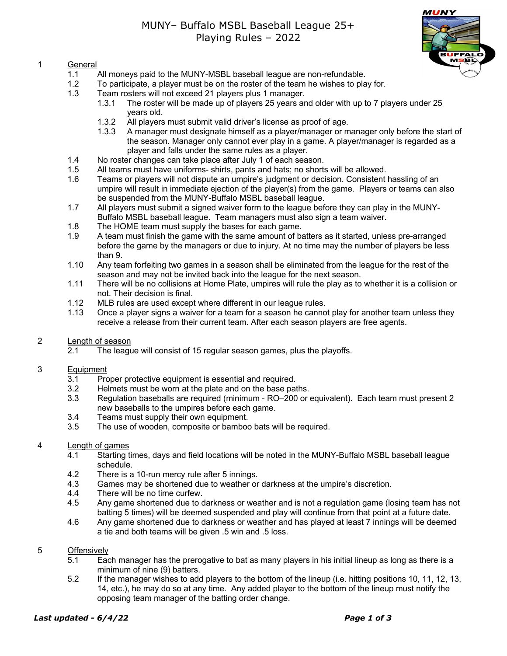# 1 General

- 1.1 All moneys paid to the MUNY-MSBL baseball league are non-refundable.
- 1.2 To participate, a player must be on the roster of the team he wishes to play for.
- 1.3 Team rosters will not exceed 21 players plus 1 manager.
	- 1.3.1 The roster will be made up of players 25 years and older with up to 7 players under 25 years old.
	- 1.3.2 All players must submit valid driver's license as proof of age.
	- 1.3.3 A manager must designate himself as a player/manager or manager only before the start of the season. Manager only cannot ever play in a game. A player/manager is regarded as a player and falls under the same rules as a player.
- 1.4 No roster changes can take place after July 1 of each season.
- 1.5 All teams must have uniforms- shirts, pants and hats; no shorts will be allowed.
- 1.6 Teams or players will not dispute an umpire's judgment or decision. Consistent hassling of an umpire will result in immediate ejection of the player(s) from the game. Players or teams can also be suspended from the MUNY-Buffalo MSBL baseball league.
- 1.7 All players must submit a signed waiver form to the league before they can play in the MUNY-Buffalo MSBL baseball league. Team managers must also sign a team waiver.
- 1.8 The HOME team must supply the bases for each game.
- 1.9 A team must finish the game with the same amount of batters as it started, unless pre-arranged before the game by the managers or due to injury. At no time may the number of players be less than 9.
- 1.10 Any team forfeiting two games in a season shall be eliminated from the league for the rest of the season and may not be invited back into the league for the next season.
- 1.11 There will be no collisions at Home Plate, umpires will rule the play as to whether it is a collision or not. Their decision is final.
- 1.12 MLB rules are used except where different in our league rules.
- 1.13 Once a player signs a waiver for a team for a season he cannot play for another team unless they receive a release from their current team. After each season players are free agents.
- 2 Length of season
	- 2.1 The league will consist of 15 regular season games, plus the playoffs.

## 3 Equipment

- 3.1 Proper protective equipment is essential and required.<br>3.2 Helmets must be worn at the plate and on the base pat
- Helmets must be worn at the plate and on the base paths.
- 3.3 Regulation baseballs are required (minimum RO–200 or equivalent). Each team must present 2 new baseballs to the umpires before each game.
- 3.4 Teams must supply their own equipment.
- 3.5 The use of wooden, composite or bamboo bats will be required.

## 4 Length of games

- 4.1 Starting times, days and field locations will be noted in the MUNY-Buffalo MSBL baseball league schedule.
- 4.2 There is a 10-run mercy rule after 5 innings.
- 4.3 Games may be shortened due to weather or darkness at the umpire's discretion.<br>4.4 There will be no time curfew.
- There will be no time curfew.
- 4.5 Any game shortened due to darkness or weather and is not a regulation game (losing team has not batting 5 times) will be deemed suspended and play will continue from that point at a future date.
- 4.6 Any game shortened due to darkness or weather and has played at least 7 innings will be deemed a tie and both teams will be given .5 win and .5 loss.

### 5 Offensively

- 5.1 Each manager has the prerogative to bat as many players in his initial lineup as long as there is a minimum of nine (9) batters.
- 5.2 If the manager wishes to add players to the bottom of the lineup (i.e. hitting positions 10, 11, 12, 13, 14, etc.), he may do so at any time. Any added player to the bottom of the lineup must notify the opposing team manager of the batting order change.

## *Last updated - 6/4/22 Page 1 of 3*

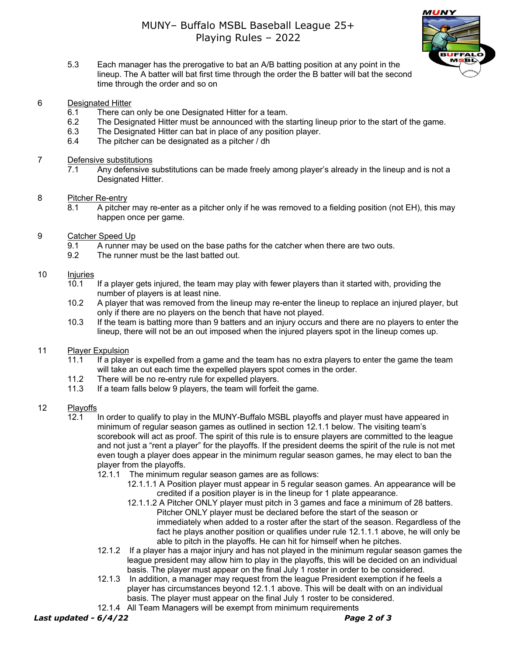

- MUNY  $MSED$
- 5.3 Each manager has the prerogative to bat an A/B batting position at any point in the lineup. The A batter will bat first time through the order the B batter will bat the second time through the order and so on
- 6 Designated Hitter
	- 6.1 There can only be one Designated Hitter for a team.
	- 6.2 The Designated Hitter must be announced with the starting lineup prior to the start of the game.
	- 6.3 The Designated Hitter can bat in place of any position player.
	- 6.4 The pitcher can be designated as a pitcher / dh
- 7 Defensive substitutions
	- 7.1 Any defensive substitutions can be made freely among player's already in the lineup and is not a Designated Hitter.

## 8 Pitcher Re-entry

- 8.1 A pitcher may re-enter as a pitcher only if he was removed to a fielding position (not EH), this may happen once per game.
- 9 Catcher Speed Up
	- 9.1 A runner may be used on the base paths for the catcher when there are two outs.
	- 9.2 The runner must be the last batted out.

## 10 Injuries

- 10.1 If a player gets injured, the team may play with fewer players than it started with, providing the number of players is at least nine.
- 10.2 A player that was removed from the lineup may re-enter the lineup to replace an injured player, but only if there are no players on the bench that have not played.
- 10.3 If the team is batting more than 9 batters and an injury occurs and there are no players to enter the lineup, there will not be an out imposed when the injured players spot in the lineup comes up.

## 11 Player Expulsion

- 11.1 If a player is expelled from a game and the team has no extra players to enter the game the team will take an out each time the expelled players spot comes in the order.
- 11.2 There will be no re-entry rule for expelled players.<br>11.3 If a team falls below 9 players, the team will forfeit
- If a team falls below 9 players, the team will forfeit the game.

### 12 Playoffs

- 12.1 In order to qualify to play in the MUNY-Buffalo MSBL playoffs and player must have appeared in minimum of regular season games as outlined in section 12.1.1 below. The visiting team's scorebook will act as proof. The spirit of this rule is to ensure players are committed to the league and not just a "rent a player" for the playoffs. If the president deems the spirit of the rule is not met even tough a player does appear in the minimum regular season games, he may elect to ban the player from the playoffs.
	- 12.1.1 The minimum regular season games are as follows:
		- 12.1.1.1 A Position player must appear in 5 regular season games. An appearance will be credited if a position player is in the lineup for 1 plate appearance.
		- 12.1.1.2 A Pitcher ONLY player must pitch in 3 games and face a minimum of 28 batters. Pitcher ONLY player must be declared before the start of the season or immediately when added to a roster after the start of the season. Regardless of the fact he plays another position or qualifies under rule 12.1.1.1 above, he will only be able to pitch in the playoffs. He can hit for himself when he pitches.
	- 12.1.2 If a player has a major injury and has not played in the minimum regular season games the league president may allow him to play in the playoffs, this will be decided on an individual basis. The player must appear on the final July 1 roster in order to be considered.
	- 12.1.3 In addition, a manager may request from the league President exemption if he feels a player has circumstances beyond 12.1.1 above. This will be dealt with on an individual basis. The player must appear on the final July 1 roster to be considered.
	- 12.1.4 All Team Managers will be exempt from minimum requirements

*Last updated - 6/4/22 Page 2 of 3*